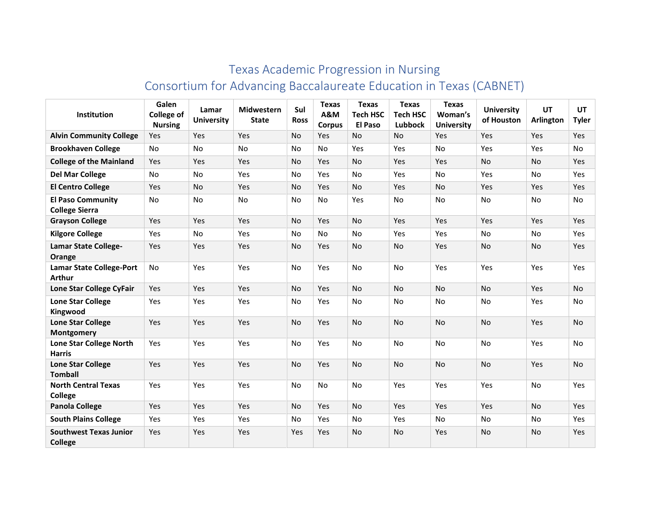## Texas Academic Progression in Nursing Consortium for Advancing Baccalaureate Education in Texas (CABNET)

| Institution                                       | Galen<br><b>College of</b><br><b>Nursing</b> | Lamar<br><b>University</b> | <b>Midwestern</b><br><b>State</b> | Sul<br><b>Ross</b> | <b>Texas</b><br>A&M<br><b>Corpus</b> | <b>Texas</b><br><b>Tech HSC</b><br>El Paso | <b>Texas</b><br><b>Tech HSC</b><br>Lubbock | <b>Texas</b><br>Woman's<br><b>University</b> | <b>University</b><br>of Houston | UT<br><b>Arlington</b> | UT<br><b>Tyler</b> |
|---------------------------------------------------|----------------------------------------------|----------------------------|-----------------------------------|--------------------|--------------------------------------|--------------------------------------------|--------------------------------------------|----------------------------------------------|---------------------------------|------------------------|--------------------|
| <b>Alvin Community College</b>                    | Yes                                          | Yes                        | Yes                               | <b>No</b>          | Yes                                  | <b>No</b>                                  | <b>No</b>                                  | Yes                                          | Yes                             | Yes                    | <b>Yes</b>         |
| <b>Brookhaven College</b>                         | No                                           | No                         | No                                | No                 | No                                   | Yes                                        | Yes                                        | No                                           | Yes                             | Yes                    | No                 |
| <b>College of the Mainland</b>                    | Yes                                          | Yes                        | Yes                               | <b>No</b>          | Yes                                  | No                                         | Yes                                        | Yes                                          | <b>No</b>                       | <b>No</b>              | Yes                |
| <b>Del Mar College</b>                            | No                                           | No                         | Yes                               | No                 | Yes                                  | No                                         | Yes                                        | No                                           | Yes                             | No                     | Yes                |
| <b>El Centro College</b>                          | Yes                                          | No                         | Yes                               | No                 | Yes                                  | No                                         | Yes                                        | No                                           | Yes                             | Yes                    | Yes                |
| <b>El Paso Community</b><br><b>College Sierra</b> | <b>No</b>                                    | <b>No</b>                  | No                                | No                 | <b>No</b>                            | Yes                                        | <b>No</b>                                  | <b>No</b>                                    | No                              | No                     | No                 |
| <b>Grayson College</b>                            | Yes                                          | Yes                        | Yes                               | No                 | Yes                                  | <b>No</b>                                  | Yes                                        | Yes                                          | Yes                             | Yes                    | Yes                |
| <b>Kilgore College</b>                            | Yes                                          | No                         | Yes                               | No                 | <b>No</b>                            | No                                         | Yes                                        | Yes                                          | No                              | <b>No</b>              | Yes                |
| <b>Lamar State College-</b><br>Orange             | Yes                                          | Yes                        | Yes                               | No                 | Yes                                  | No                                         | No                                         | Yes                                          | No                              | No                     | <b>Yes</b>         |
| <b>Lamar State College-Port</b><br><b>Arthur</b>  | No                                           | Yes                        | Yes                               | No                 | Yes                                  | No                                         | No                                         | Yes                                          | Yes                             | Yes                    | Yes                |
| Lone Star College CyFair                          | Yes                                          | Yes                        | Yes                               | <b>No</b>          | Yes                                  | No                                         | <b>No</b>                                  | <b>No</b>                                    | No                              | Yes                    | No                 |
| <b>Lone Star College</b><br>Kingwood              | Yes                                          | Yes                        | Yes                               | No                 | Yes                                  | No                                         | No                                         | No                                           | No                              | Yes                    | No                 |
| <b>Lone Star College</b><br>Montgomery            | Yes                                          | Yes                        | Yes                               | <b>No</b>          | Yes                                  | <b>No</b>                                  | <b>No</b>                                  | <b>No</b>                                    | <b>No</b>                       | Yes                    | <b>No</b>          |
| Lone Star College North<br><b>Harris</b>          | Yes                                          | Yes                        | Yes                               | No                 | Yes                                  | No                                         | <b>No</b>                                  | No                                           | No                              | Yes                    | No                 |
| <b>Lone Star College</b><br><b>Tomball</b>        | Yes                                          | Yes                        | Yes                               | No                 | Yes                                  | <b>No</b>                                  | No                                         | No                                           | <b>No</b>                       | Yes                    | No                 |
| <b>North Central Texas</b><br><b>College</b>      | Yes                                          | Yes                        | Yes                               | No                 | No                                   | No                                         | Yes                                        | Yes                                          | Yes                             | No                     | Yes                |
| <b>Panola College</b>                             | Yes                                          | Yes                        | Yes                               | No                 | Yes                                  | <b>No</b>                                  | Yes                                        | Yes                                          | Yes                             | No                     | Yes                |
| <b>South Plains College</b>                       | Yes                                          | Yes                        | Yes                               | No                 | Yes                                  | No                                         | Yes                                        | No                                           | No                              | No                     | Yes                |
| <b>Southwest Texas Junior</b><br><b>College</b>   | Yes                                          | Yes                        | Yes                               | Yes                | Yes                                  | No                                         | No                                         | Yes                                          | No                              | No                     | Yes                |